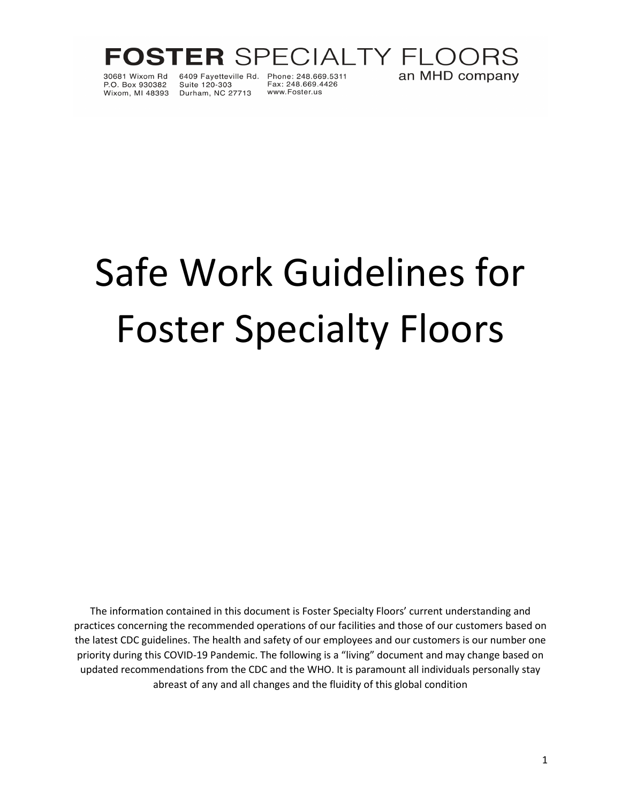

30681 Wixom Bd P.O. Box 930382

Suite 120-303 Wixom, MI 48393 Durham, NC 27713

6409 Fayetteville Rd. Phone: 248.669.5311<br>Suite 120-303 Fax: 248.669.4426 www.Foster.us

# Safe Work Guidelines for Foster Specialty Floors

The information contained in this document is Foster Specialty Floors' current understanding and practices concerning the recommended operations of our facilities and those of our customers based on the latest CDC guidelines. The health and safety of our employees and our customers is our number one priority during this COVID-19 Pandemic. The following is a "living" document and may change based on updated recommendations from the CDC and the WHO. It is paramount all individuals personally stay abreast of any and all changes and the fluidity of this global condition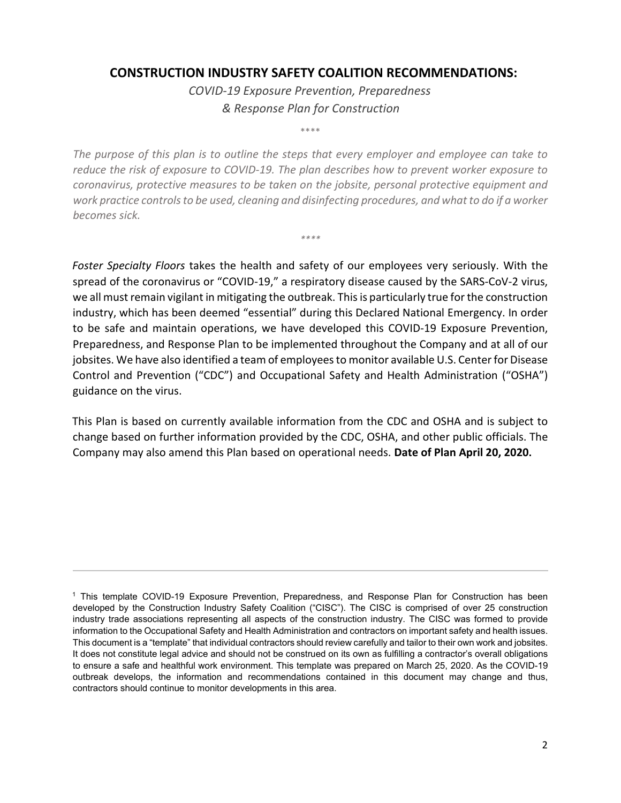## **CONSTRUCTION INDUSTRY SAFETY COALITION RECOMMENDATIONS:**

*COVID-19 Exposure Prevention, Preparedness & Response Plan for Construction* 

\*\*\*\*

*The purpose of this plan is to outline the steps that every employer and employee can take to reduce the risk of exposure to COVID-19. The plan describes how to prevent worker exposure to coronavirus, protective measures to be taken on the jobsite, personal protective equipment and work practice controls to be used, cleaning and disinfecting procedures, and what to do if a worker becomes sick.*

*\*\*\*\** 

*Foster Specialty Floors* takes the health and safety of our employees very seriously. With the spread of the coronavirus or "COVID-19," a respiratory disease caused by the SARS-CoV-2 virus, we all must remain vigilant in mitigating the outbreak. This is particularly true for the construction industry, which has been deemed "essential" during this Declared National Emergency. In order to be safe and maintain operations, we have developed this COVID-19 Exposure Prevention, Preparedness, and Response Plan to be implemented throughout the Company and at all of our jobsites. We have also identified a team of employees to monitor available U.S. Center for Disease Control and Prevention ("CDC") and Occupational Safety and Health Administration ("OSHA") guidance on the virus.

This Plan is based on currently available information from the CDC and OSHA and is subject to change based on further information provided by the CDC, OSHA, and other public officials. The Company may also amend this Plan based on operational needs. **Date of Plan April 20, 2020.**

<sup>1</sup> This template COVID-19 Exposure Prevention, Preparedness, and Response Plan for Construction has been developed by the Construction Industry Safety Coalition ("CISC"). The CISC is comprised of over 25 construction industry trade associations representing all aspects of the construction industry. The CISC was formed to provide information to the Occupational Safety and Health Administration and contractors on important safety and health issues. This document is a "template" that individual contractors should review carefully and tailor to their own work and jobsites. It does not constitute legal advice and should not be construed on its own as fulfilling a contractor's overall obligations to ensure a safe and healthful work environment. This template was prepared on March 25, 2020. As the COVID-19 outbreak develops, the information and recommendations contained in this document may change and thus, contractors should continue to monitor developments in this area.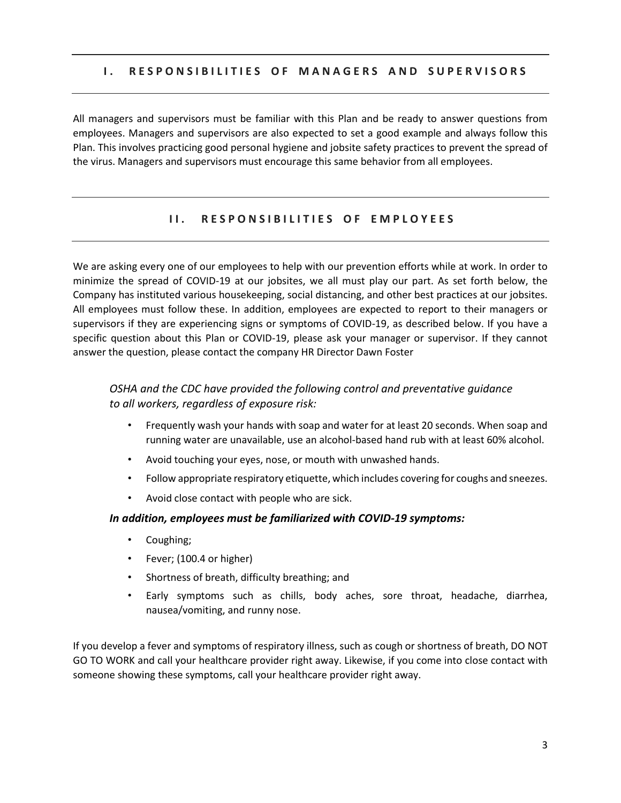#### **I. RESPONSIBILITIES OF MANAGERS AND SUPERVISORS**

All managers and supervisors must be familiar with this Plan and be ready to answer questions from employees. Managers and supervisors are also expected to set a good example and always follow this Plan. This involves practicing good personal hygiene and jobsite safety practices to prevent the spread of the virus. Managers and supervisors must encourage this same behavior from all employees.

#### **II. RESPONSIBILITIES OF EMPLOYEES**

We are asking every one of our employees to help with our prevention efforts while at work. In order to minimize the spread of COVID-19 at our jobsites, we all must play our part. As set forth below, the Company has instituted various housekeeping, social distancing, and other best practices at our jobsites. All employees must follow these. In addition, employees are expected to report to their managers or supervisors if they are experiencing signs or symptoms of COVID-19, as described below. If you have a specific question about this Plan or COVID-19, please ask your manager or supervisor. If they cannot answer the question, please contact the company HR Director Dawn Foster

## *OSHA and the CDC have provided the following control and preventative guidance to all workers, regardless of exposure risk:*

- Frequently wash your hands with soap and water for at least 20 seconds. When soap and running water are unavailable, use an alcohol-based hand rub with at least 60% alcohol.
- Avoid touching your eyes, nose, or mouth with unwashed hands.
- Follow appropriate respiratory etiquette, which includes covering for coughs and sneezes.
- Avoid close contact with people who are sick.

#### *In addition, employees must be familiarized with COVID-19 symptoms:*

- Coughing;
- Fever; (100.4 or higher)
- Shortness of breath, difficulty breathing; and
- Early symptoms such as chills, body aches, sore throat, headache, diarrhea, nausea/vomiting, and runny nose.

If you develop a fever and symptoms of respiratory illness, such as cough or shortness of breath, DO NOT GO TO WORK and call your healthcare provider right away. Likewise, if you come into close contact with someone showing these symptoms, call your healthcare provider right away.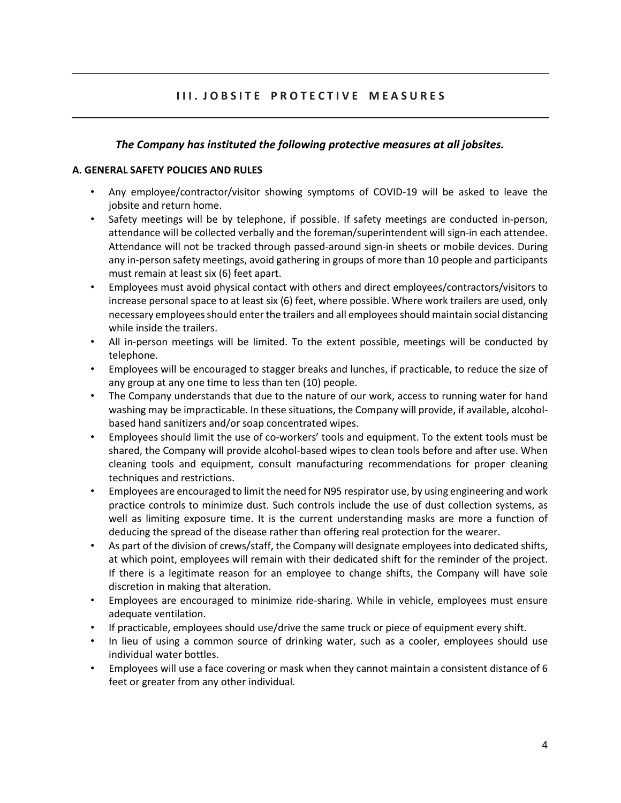## **III. JOBSITE PROTECTIVE MEASURES**

## *The Company has instituted the following protective measures at all jobsites.*

#### **A. GENERAL SAFETY POLICIES AND RULES**

- Any employee/contractor/visitor showing symptoms of COVID-19 will be asked to leave the jobsite and return home.
- Safety meetings will be by telephone, if possible. If safety meetings are conducted in-person, attendance will be collected verbally and the foreman/superintendent will sign-in each attendee. Attendance will not be tracked through passed-around sign-in sheets or mobile devices. During any in-person safety meetings, avoid gathering in groups of more than 10 people and participants must remain at least six (6) feet apart.
- Employees must avoid physical contact with others and direct employees/contractors/visitors to increase personal space to at least six (6) feet, where possible. Where work trailers are used, only necessary employees should enter the trailers and all employees should maintain social distancing while inside the trailers.
- All in-person meetings will be limited. To the extent possible, meetings will be conducted by telephone.
- Employees will be encouraged to stagger breaks and lunches, if practicable, to reduce the size of any group at any one time to less than ten (10) people.
- The Company understands that due to the nature of our work, access to running water for hand washing may be impracticable. In these situations, the Company will provide, if available, alcoholbased hand sanitizers and/or soap concentrated wipes.
- Employees should limit the use of co-workers' tools and equipment. To the extent tools must be shared, the Company will provide alcohol-based wipes to clean tools before and after use. When cleaning tools and equipment, consult manufacturing recommendations for proper cleaning techniques and restrictions.
- Employees are encouraged to limit the need for N95 respirator use, by using engineering and work practice controls to minimize dust. Such controls include the use of dust collection systems, as well as limiting exposure time. It is the current understanding masks are more a function of deducing the spread of the disease rather than offering real protection for the wearer.
- As part of the division of crews/staff, the Company will designate employees into dedicated shifts, at which point, employees will remain with their dedicated shift for the reminder of the project. If there is a legitimate reason for an employee to change shifts, the Company will have sole discretion in making that alteration.
- Employees are encouraged to minimize ride-sharing. While in vehicle, employees must ensure adequate ventilation.
- If practicable, employees should use/drive the same truck or piece of equipment every shift.
- In lieu of using a common source of drinking water, such as a cooler, employees should use individual water bottles.
- Employees will use a face covering or mask when they cannot maintain a consistent distance of 6 feet or greater from any other individual.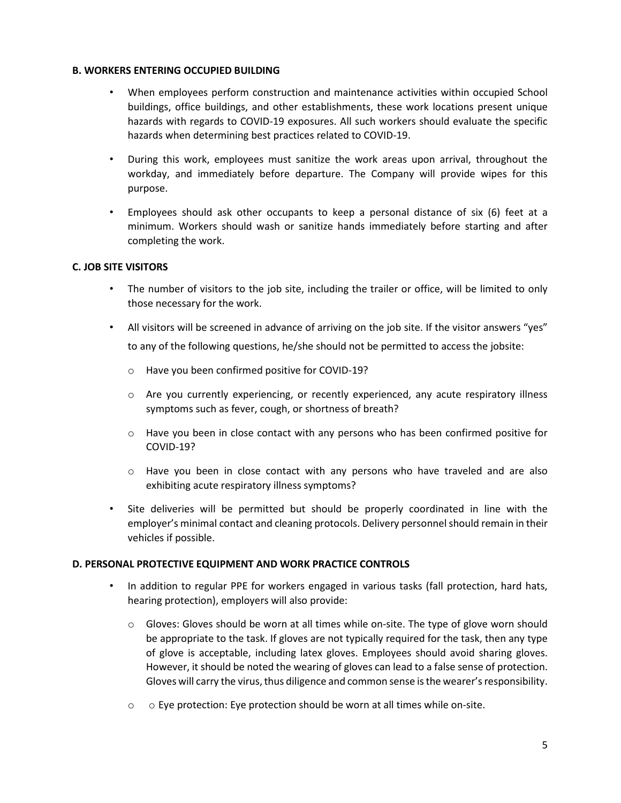#### **B. WORKERS ENTERING OCCUPIED BUILDING**

- When employees perform construction and maintenance activities within occupied School buildings, office buildings, and other establishments, these work locations present unique hazards with regards to COVID-19 exposures. All such workers should evaluate the specific hazards when determining best practices related to COVID-19.
- During this work, employees must sanitize the work areas upon arrival, throughout the workday, and immediately before departure. The Company will provide wipes for this purpose.
- Employees should ask other occupants to keep a personal distance of six (6) feet at a minimum. Workers should wash or sanitize hands immediately before starting and after completing the work.

#### **C. JOB SITE VISITORS**

- The number of visitors to the job site, including the trailer or office, will be limited to only those necessary for the work.
- All visitors will be screened in advance of arriving on the job site. If the visitor answers "yes" to any of the following questions, he/she should not be permitted to access the jobsite:
	- o Have you been confirmed positive for COVID-19?
	- o Are you currently experiencing, or recently experienced, any acute respiratory illness symptoms such as fever, cough, or shortness of breath?
	- $\circ$  Have you been in close contact with any persons who has been confirmed positive for COVID-19?
	- $\circ$  Have you been in close contact with any persons who have traveled and are also exhibiting acute respiratory illness symptoms?
- Site deliveries will be permitted but should be properly coordinated in line with the employer's minimal contact and cleaning protocols. Delivery personnel should remain in their vehicles if possible.

#### **D. PERSONAL PROTECTIVE EQUIPMENT AND WORK PRACTICE CONTROLS**

- In addition to regular PPE for workers engaged in various tasks (fall protection, hard hats, hearing protection), employers will also provide:
	- o Gloves: Gloves should be worn at all times while on-site. The type of glove worn should be appropriate to the task. If gloves are not typically required for the task, then any type of glove is acceptable, including latex gloves. Employees should avoid sharing gloves. However, it should be noted the wearing of gloves can lead to a false sense of protection. Gloves will carry the virus, thus diligence and common sense isthe wearer's responsibility.
	- o o Eye protection: Eye protection should be worn at all times while on-site.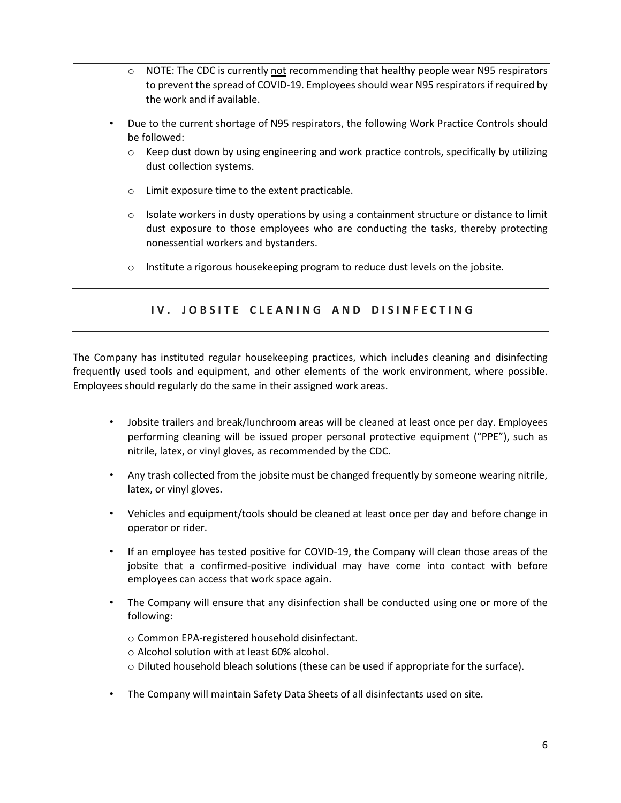- $\circ$  NOTE: The CDC is currently not recommending that healthy people wear N95 respirators to prevent the spread of COVID-19. Employees should wear N95 respirators if required by the work and if available.
- Due to the current shortage of N95 respirators, the following Work Practice Controls should be followed:
	- $\circ$  Keep dust down by using engineering and work practice controls, specifically by utilizing dust collection systems.
	- o Limit exposure time to the extent practicable.
	- $\circ$  Isolate workers in dusty operations by using a containment structure or distance to limit dust exposure to those employees who are conducting the tasks, thereby protecting nonessential workers and bystanders.
	- o Institute a rigorous housekeeping program to reduce dust levels on the jobsite.

## **IV. JOBSITE CLEANING AND DISINFECTING**

The Company has instituted regular housekeeping practices, which includes cleaning and disinfecting frequently used tools and equipment, and other elements of the work environment, where possible. Employees should regularly do the same in their assigned work areas.

- Jobsite trailers and break/lunchroom areas will be cleaned at least once per day. Employees performing cleaning will be issued proper personal protective equipment ("PPE"), such as nitrile, latex, or vinyl gloves, as recommended by the CDC.
- Any trash collected from the jobsite must be changed frequently by someone wearing nitrile, latex, or vinyl gloves.
- Vehicles and equipment/tools should be cleaned at least once per day and before change in operator or rider.
- If an employee has tested positive for COVID-19, the Company will clean those areas of the jobsite that a confirmed-positive individual may have come into contact with before employees can access that work space again.
- The Company will ensure that any disinfection shall be conducted using one or more of the following:
	- o Common EPA-registered household disinfectant.
	- o Alcohol solution with at least 60% alcohol.
	- $\circ$  Diluted household bleach solutions (these can be used if appropriate for the surface).
- The Company will maintain Safety Data Sheets of all disinfectants used on site.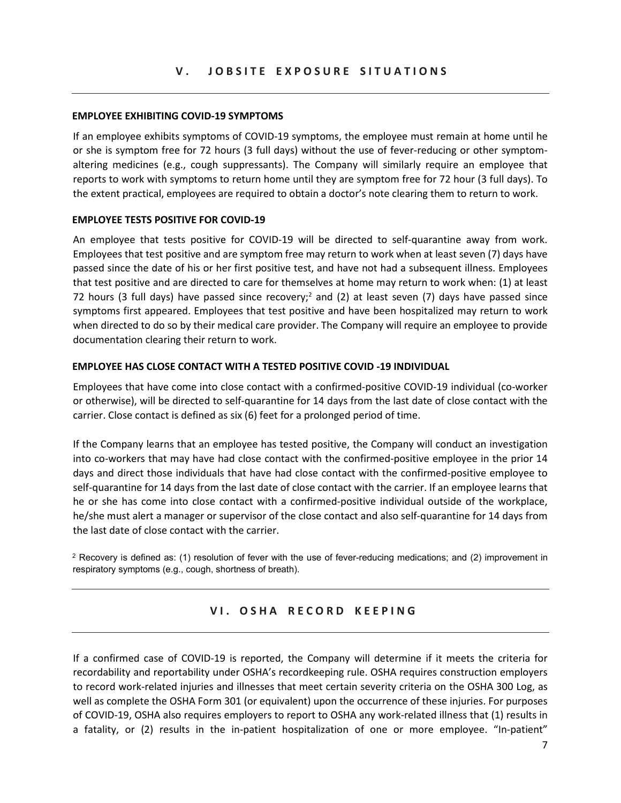#### **V . J O B S I T E E X P O S U R E S I T U A T I O N S**

#### **EMPLOYEE EXHIBITING COVID-19 SYMPTOMS**

If an employee exhibits symptoms of COVID-19 symptoms, the employee must remain at home until he or she is symptom free for 72 hours (3 full days) without the use of fever-reducing or other symptomaltering medicines (e.g., cough suppressants). The Company will similarly require an employee that reports to work with symptoms to return home until they are symptom free for 72 hour (3 full days). To the extent practical, employees are required to obtain a doctor's note clearing them to return to work.

#### **EMPLOYEE TESTS POSITIVE FOR COVID-19**

An employee that tests positive for COVID-19 will be directed to self-quarantine away from work. Employees that test positive and are symptom free may return to work when at least seven (7) days have passed since the date of his or her first positive test, and have not had a subsequent illness. Employees that test positive and are directed to care for themselves at home may return to work when: (1) at least 72 hours (3 full days) have passed since recovery;<sup>2</sup> and (2) at least seven (7) days have passed since symptoms first appeared. Employees that test positive and have been hospitalized may return to work when directed to do so by their medical care provider. The Company will require an employee to provide documentation clearing their return to work.

#### **EMPLOYEE HAS CLOSE CONTACT WITH A TESTED POSITIVE COVID -19 INDIVIDUAL**

Employees that have come into close contact with a confirmed-positive COVID-19 individual (co-worker or otherwise), will be directed to self-quarantine for 14 days from the last date of close contact with the carrier. Close contact is defined as six (6) feet for a prolonged period of time.

If the Company learns that an employee has tested positive, the Company will conduct an investigation into co-workers that may have had close contact with the confirmed-positive employee in the prior 14 days and direct those individuals that have had close contact with the confirmed-positive employee to self-quarantine for 14 days from the last date of close contact with the carrier. If an employee learns that he or she has come into close contact with a confirmed-positive individual outside of the workplace, he/she must alert a manager or supervisor of the close contact and also self-quarantine for 14 days from the last date of close contact with the carrier.

 $2$  Recovery is defined as: (1) resolution of fever with the use of fever-reducing medications; and (2) improvement in respiratory symptoms (e.g., cough, shortness of breath).

## **V I . O S H A R E C O R D K E E P I N G**

If a confirmed case of COVID-19 is reported, the Company will determine if it meets the criteria for recordability and reportability under OSHA's recordkeeping rule. OSHA requires construction employers to record work-related injuries and illnesses that meet certain severity criteria on the OSHA 300 Log, as well as complete the OSHA Form 301 (or equivalent) upon the occurrence of these injuries. For purposes of COVID-19, OSHA also requires employers to report to OSHA any work-related illness that (1) results in a fatality, or (2) results in the in-patient hospitalization of one or more employee. "In-patient"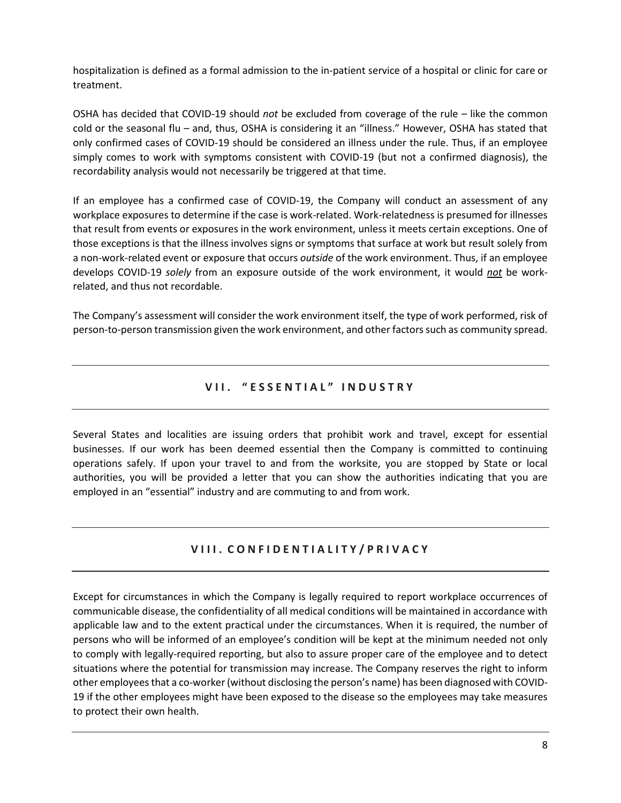hospitalization is defined as a formal admission to the in-patient service of a hospital or clinic for care or treatment.

OSHA has decided that COVID-19 should *not* be excluded from coverage of the rule – like the common cold or the seasonal flu – and, thus, OSHA is considering it an "illness." However, OSHA has stated that only confirmed cases of COVID-19 should be considered an illness under the rule. Thus, if an employee simply comes to work with symptoms consistent with COVID-19 (but not a confirmed diagnosis), the recordability analysis would not necessarily be triggered at that time.

If an employee has a confirmed case of COVID-19, the Company will conduct an assessment of any workplace exposures to determine if the case is work-related. Work-relatedness is presumed for illnesses that result from events or exposures in the work environment, unless it meets certain exceptions. One of those exceptions is that the illness involves signs or symptoms that surface at work but result solely from a non-work-related event or exposure that occurs *outside* of the work environment. Thus, if an employee develops COVID-19 *solely* from an exposure outside of the work environment, it would *not* be workrelated, and thus not recordable.

The Company's assessment will consider the work environment itself, the type of work performed, risk of person-to-person transmission given the work environment, and other factors such as community spread.

## **V I I . " E S S E N T I A L " I N D U S T R Y**

Several States and localities are issuing orders that prohibit work and travel, except for essential businesses. If our work has been deemed essential then the Company is committed to continuing operations safely. If upon your travel to and from the worksite, you are stopped by State or local authorities, you will be provided a letter that you can show the authorities indicating that you are employed in an "essential" industry and are commuting to and from work.

## **V I I I . C O N F I D E N T I A L I T Y / P R I V A C Y**

Except for circumstances in which the Company is legally required to report workplace occurrences of communicable disease, the confidentiality of all medical conditions will be maintained in accordance with applicable law and to the extent practical under the circumstances. When it is required, the number of persons who will be informed of an employee's condition will be kept at the minimum needed not only to comply with legally-required reporting, but also to assure proper care of the employee and to detect situations where the potential for transmission may increase. The Company reserves the right to inform other employees that a co-worker (without disclosing the person's name) has been diagnosed with COVID-19 if the other employees might have been exposed to the disease so the employees may take measures to protect their own health.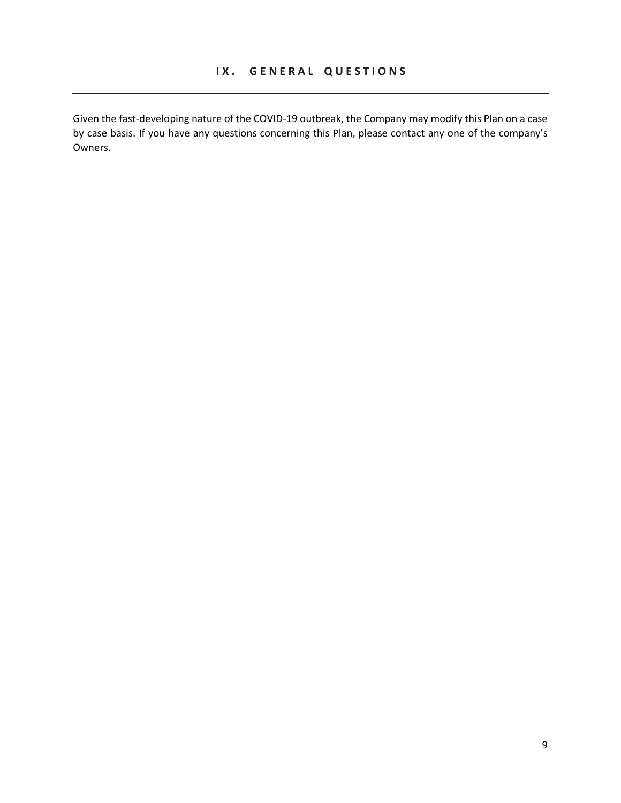Given the fast-developing nature of the COVID-19 outbreak, the Company may modify this Plan on a case by case basis. If you have any questions concerning this Plan, please contact any one of the company's Owners.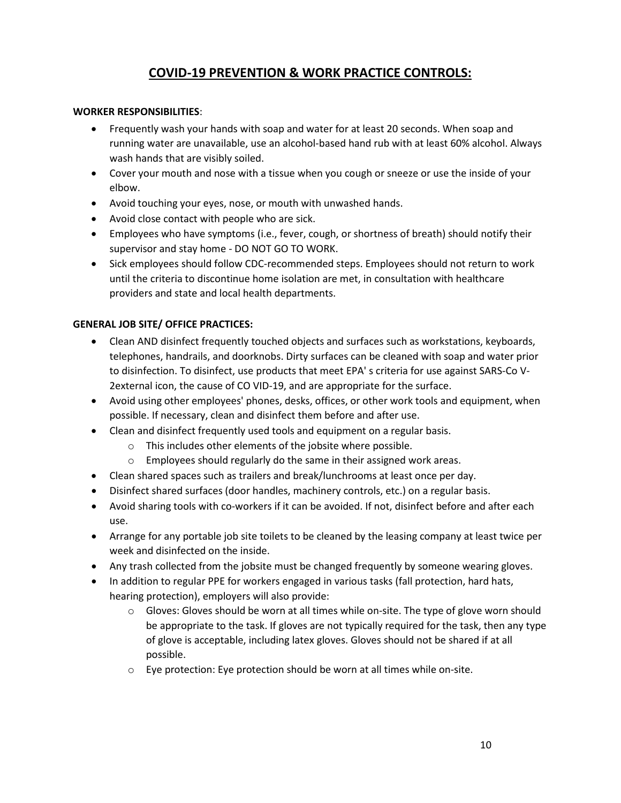# **COVID-19 PREVENTION & WORK PRACTICE CONTROLS:**

#### **WORKER RESPONSIBILITIES**:

- Frequently wash your hands with soap and water for at least 20 seconds. When soap and running water are unavailable, use an alcohol-based hand rub with at least 60% alcohol. Always wash hands that are visibly soiled.
- Cover your mouth and nose with a tissue when you cough or sneeze or use the inside of your elbow.
- Avoid touching your eyes, nose, or mouth with unwashed hands.
- Avoid close contact with people who are sick.
- Employees who have symptoms (i.e., fever, cough, or shortness of breath) should notify their supervisor and stay home - DO NOT GO TO WORK.
- Sick employees should follow CDC-recommended steps. Employees should not return to work until the criteria to discontinue home isolation are met, in consultation with healthcare providers and state and local health departments.

## **GENERAL JOB SITE/ OFFICE PRACTICES:**

- Clean AND disinfect frequently touched objects and surfaces such as workstations, keyboards, telephones, handrails, and doorknobs. Dirty surfaces can be cleaned with soap and water prior to disinfection. To disinfect, use products that meet EPA' s criteria for use against SARS-Co V-2external icon, the cause of CO VID-19, and are appropriate for the surface.
- Avoid using other employees' phones, desks, offices, or other work tools and equipment, when possible. If necessary, clean and disinfect them before and after use.
- Clean and disinfect frequently used tools and equipment on a regular basis.
	- o This includes other elements of the jobsite where possible.
	- o Employees should regularly do the same in their assigned work areas.
- Clean shared spaces such as trailers and break/lunchrooms at least once per day.
- Disinfect shared surfaces (door handles, machinery controls, etc.) on a regular basis.
- Avoid sharing tools with co-workers if it can be avoided. If not, disinfect before and after each use.
- Arrange for any portable job site toilets to be cleaned by the leasing company at least twice per week and disinfected on the inside.
- Any trash collected from the jobsite must be changed frequently by someone wearing gloves.
- In addition to regular PPE for workers engaged in various tasks (fall protection, hard hats, hearing protection), employers will also provide:
	- o Gloves: Gloves should be worn at all times while on-site. The type of glove worn should be appropriate to the task. If gloves are not typically required for the task, then any type of glove is acceptable, including latex gloves. Gloves should not be shared if at all possible.
	- o Eye protection: Eye protection should be worn at all times while on-site.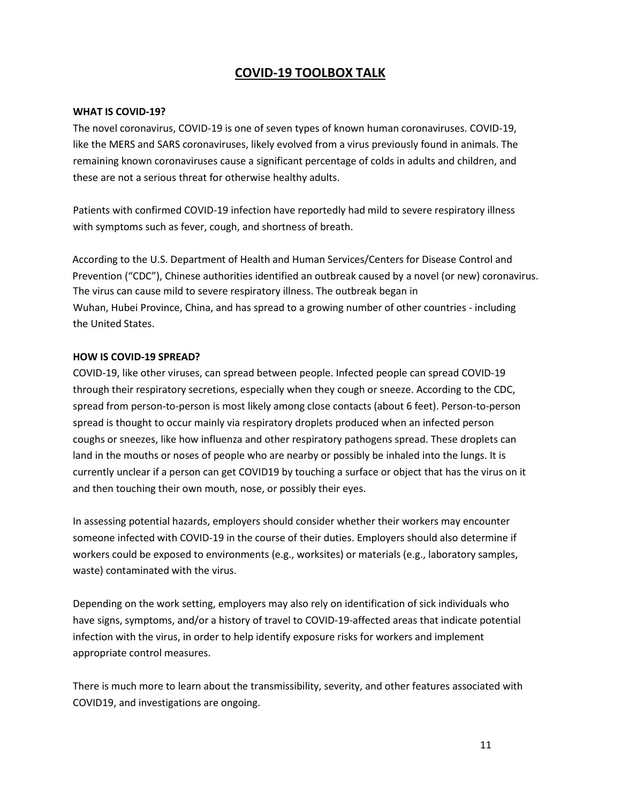## **COVID-19 TOOLBOX TALK**

#### **WHAT IS COVID-19?**

The novel coronavirus, COVID-19 is one of seven types of known human coronaviruses. COVID-19, like the MERS and SARS coronaviruses, likely evolved from a virus previously found in animals. The remaining known coronaviruses cause a significant percentage of colds in adults and children, and these are not a serious threat for otherwise healthy adults.

Patients with confirmed COVID-19 infection have reportedly had mild to severe respiratory illness with symptoms such as fever, cough, and shortness of breath.

According to the U.S. Department of Health and Human Services/Centers for Disease Control and Prevention ("CDC"), Chinese authorities identified an outbreak caused by a novel (or new) coronavirus. The virus can cause mild to severe respiratory illness. The outbreak began in Wuhan, Hubei Province, China, and has spread to a growing number of other countries - including the United States.

#### **HOW IS COVID-19 SPREAD?**

COVID-19, like other viruses, can spread between people. Infected people can spread COVID-19 through their respiratory secretions, especially when they cough or sneeze. According to the CDC, spread from person-to-person is most likely among close contacts (about 6 feet). Person-to-person spread is thought to occur mainly via respiratory droplets produced when an infected person coughs or sneezes, like how influenza and other respiratory pathogens spread. These droplets can land in the mouths or noses of people who are nearby or possibly be inhaled into the lungs. It is currently unclear if a person can get COVID19 by touching a surface or object that has the virus on it and then touching their own mouth, nose, or possibly their eyes.

In assessing potential hazards, employers should consider whether their workers may encounter someone infected with COVID-19 in the course of their duties. Employers should also determine if workers could be exposed to environments (e.g., worksites) or materials (e.g., laboratory samples, waste) contaminated with the virus.

Depending on the work setting, employers may also rely on identification of sick individuals who have signs, symptoms, and/or a history of travel to COVID-19-affected areas that indicate potential infection with the virus, in order to help identify exposure risks for workers and implement appropriate control measures.

There is much more to learn about the transmissibility, severity, and other features associated with COVID19, and investigations are ongoing.